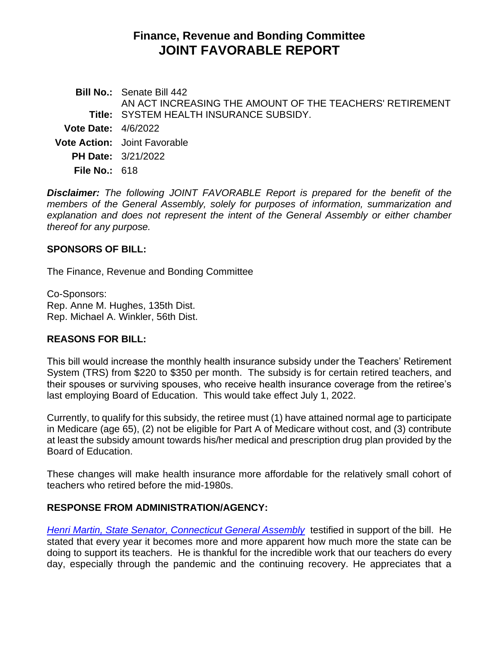# **Finance, Revenue and Bonding Committee JOINT FAVORABLE REPORT**

**Bill No.:** Senate Bill 442 **Title:** SYSTEM HEALTH INSURANCE SUBSIDY. AN ACT INCREASING THE AMOUNT OF THE TEACHERS' RETIREMENT **Vote Date:** 4/6/2022 **Vote Action:** Joint Favorable **PH Date:** 3/21/2022 **File No.:** 618

*Disclaimer: The following JOINT FAVORABLE Report is prepared for the benefit of the members of the General Assembly, solely for purposes of information, summarization and explanation and does not represent the intent of the General Assembly or either chamber thereof for any purpose.*

# **SPONSORS OF BILL:**

The Finance, Revenue and Bonding Committee

Co-Sponsors: [Rep. Anne M. Hughes, 135th Dist.](http://cgalites/asp/CGABillStatus/CGAMemberBills.asp?dist_code=%27135%27) [Rep. Michael A. Winkler, 56th Dist.](http://cgalites/asp/CGABillStatus/CGAMemberBills.asp?dist_code=%27056%27)

# **REASONS FOR BILL:**

This bill would increase the monthly health insurance subsidy under the Teachers' Retirement System (TRS) from \$220 to \$350 per month. The subsidy is for certain retired teachers, and their spouses or surviving spouses, who receive health insurance coverage from the retiree's last employing Board of Education. This would take effect July 1, 2022.

Currently, to qualify for this subsidy, the retiree must (1) have attained normal age to participate in Medicare (age 65), (2) not be eligible for Part A of Medicare without cost, and (3) contribute at least the subsidy amount towards his/her medical and prescription drug plan provided by the Board of Education.

These changes will make health insurance more affordable for the relatively small cohort of teachers who retired before the mid-1980s.

# **RESPONSE FROM ADMINISTRATION/AGENCY:**

*Henri Martin, [State Senator, Connecticut General Assembly](https://cga.ct.gov/2022/FINdata/Tmy/2022SB-00442-R000321-Martin,%20Henri,%20State%20Senator,%20Connecticut%20General%20Assembly%20-%20Support-TMY.PDF)* testified in support of the bill. He stated that every year it becomes more and more apparent how much more the state can be doing to support its teachers. He is thankful for the incredible work that our teachers do every day, especially through the pandemic and the continuing recovery. He appreciates that a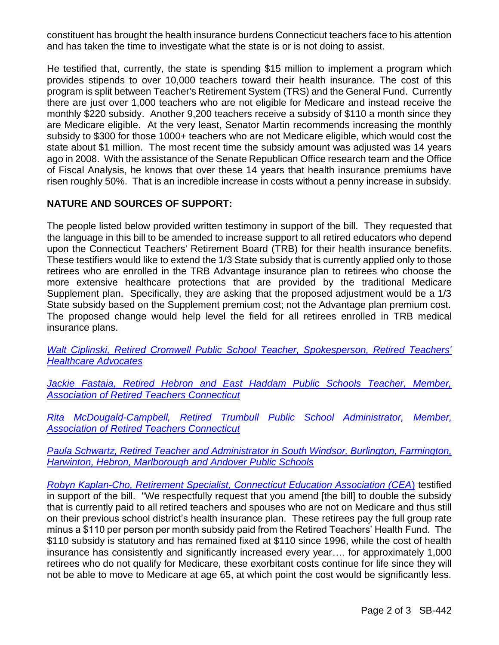constituent has brought the health insurance burdens Connecticut teachers face to his attention and has taken the time to investigate what the state is or is not doing to assist.

He testified that, currently, the state is spending \$15 million to implement a program which provides stipends to over 10,000 teachers toward their health insurance. The cost of this program is split between Teacher's Retirement System (TRS) and the General Fund. Currently there are just over 1,000 teachers who are not eligible for Medicare and instead receive the monthly \$220 subsidy. Another 9,200 teachers receive a subsidy of \$110 a month since they are Medicare eligible. At the very least, Senator Martin recommends increasing the monthly subsidy to \$300 for those 1000+ teachers who are not Medicare eligible, which would cost the state about \$1 million. The most recent time the subsidy amount was adjusted was 14 years ago in 2008. With the assistance of the Senate Republican Office research team and the Office of Fiscal Analysis, he knows that over these 14 years that health insurance premiums have risen roughly 50%. That is an incredible increase in costs without a penny increase in subsidy.

# **NATURE AND SOURCES OF SUPPORT:**

The people listed below provided written testimony in support of the bill. They requested that the language in this bill to be amended to increase support to all retired educators who depend upon the Connecticut Teachers' Retirement Board (TRB) for their health insurance benefits. These testifiers would like to extend the 1/3 State subsidy that is currently applied only to those retirees who are enrolled in the TRB Advantage insurance plan to retirees who choose the more extensive healthcare protections that are provided by the traditional Medicare Supplement plan. Specifically, they are asking that the proposed adjustment would be a 1/3 State subsidy based on the Supplement premium cost; not the Advantage plan premium cost. The proposed change would help level the field for all retirees enrolled in TRB medical insurance plans.

*[Walt Ciplinski, Retired Cromwell Public School Teacher, Spokesperson, Retired Teachers'](https://cga.ct.gov/2022/FINdata/Tmy/2022SB-00442-R000321-Ciplinski,%20Walt,%20Spokesperson,%20Retired%20Teachers%27%20Healthcare%20Advocates%20-%20Support-TMY.PDF)  [Healthcare Advocates](https://cga.ct.gov/2022/FINdata/Tmy/2022SB-00442-R000321-Ciplinski,%20Walt,%20Spokesperson,%20Retired%20Teachers%27%20Healthcare%20Advocates%20-%20Support-TMY.PDF)*

*[Jackie Fastaia, Retired Hebron and East Haddam Public Schools Teacher, Member,](https://cga.ct.gov/2022/FINdata/Tmy/2022SB-00442-R000321-Fastaia,%20Jackie,%20Member,%20Association%20of%20Retired%20Teachers%20Connecticut%20-%20Support-TMY.PDF)  [Association of Retired Teachers Connecticut](https://cga.ct.gov/2022/FINdata/Tmy/2022SB-00442-R000321-Fastaia,%20Jackie,%20Member,%20Association%20of%20Retired%20Teachers%20Connecticut%20-%20Support-TMY.PDF)*

*Rita McDougald-Campbell, [Retired Trumbull Public School Administrator, Member,](https://cga.ct.gov/2022/FINdata/Tmy/2022SB-00442-R000321-McDougald-Campbell,%20Rita,%20Member,%20Association%20of%20Retired%20Teachers%20Connecticut%20-%20Support-TMY.PDF)  [Association of Retired Teachers Connecticut](https://cga.ct.gov/2022/FINdata/Tmy/2022SB-00442-R000321-McDougald-Campbell,%20Rita,%20Member,%20Association%20of%20Retired%20Teachers%20Connecticut%20-%20Support-TMY.PDF)*

*Paula Schwartz, Retired Teacher and Administrator [in South Windsor, Burlington, Farmington,](https://cga.ct.gov/2022/FINdata/Tmy/2022SB-00442-R000321-Schwartz,%20Paula,%20Resident,%20Avon,%20Connecticut%20-%20Support-TMY.PDF)  [Harwinton, Hebron, Marlborough and Andover Public Schools](https://cga.ct.gov/2022/FINdata/Tmy/2022SB-00442-R000321-Schwartz,%20Paula,%20Resident,%20Avon,%20Connecticut%20-%20Support-TMY.PDF)*

*[Robyn Kaplan-Cho, Retirement Specialist, Connecticut Education Association \(CEA](https://cga.ct.gov/2022/FINdata/Tmy/2022SB-00442-R000321-Kaplan-Cho,%20Robyn,%20Retirement%20Specialist,%20Connecticut%20Education%20Association%20-%20Support-TMY.PDF)*) testified in support of the bill. "We respectfully request that you amend [the bill] to double the subsidy that is currently paid to all retired teachers and spouses who are not on Medicare and thus still on their previous school district's health insurance plan. These retirees pay the full group rate minus a \$110 per person per month subsidy paid from the Retired Teachers' Health Fund. The \$110 subsidy is statutory and has remained fixed at \$110 since 1996, while the cost of health insurance has consistently and significantly increased every year…. for approximately 1,000 retirees who do not qualify for Medicare, these exorbitant costs continue for life since they will not be able to move to Medicare at age 65, at which point the cost would be significantly less.